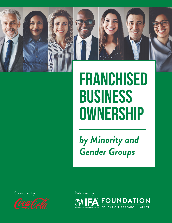

# **Franchised Business Ownership**

*by Minority and Gender Groups*



Sponsored by: Published by: **FOI JNDATION** TION. RESEARCH. IMPACT.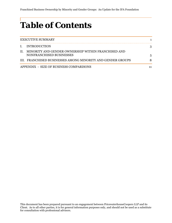## *Table of Contents*

|              | EXECUTIVE SUMMARY                                                                   |              |
|--------------|-------------------------------------------------------------------------------------|--------------|
| $\mathbf{L}$ | INTRODUCTION                                                                        |              |
|              | II. MINORITY AND GENDER OWNERSHIP WITHIN FRANCHISED AND<br>NONFRANCHISED BUSINESSES | $\mathbf{5}$ |
|              | III. FRANCHISED BUSINESSES AMONG MINORITY AND GENDER GROUPS                         |              |
|              | APPENDIX - SIZE OF BUSINESS COMPARISONS                                             |              |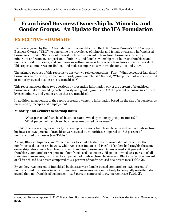## *Franchised Business Ownership by Minority and Gender Groups: An Update for the IFA Foundation*

## *EXECUTIVE SUMMARY*

PwC was engaged by the IFA Foundation to review data from the U.S. Census Bureau's 2012 *Survey of Business Owners* ("SBO") to determine the prevalence of minority and female ownership in franchised businesses in 2012. Statistics of interest include the percent of franchised businesses owned by minorities and women, comparisons of minority and female ownership rates between franchised and nonfranchised businesses, and comparisons within business lines where franchises are most prevalent. This report summarizes our findings and makes comparisons with results for 2002 and 2007.<sup>1</sup>

The primary purpose of this report is to answer two related questions: First, "What percent of franchised businesses are owned by women or minority group members?" Second, "What percent of women-owned or minority-owned businesses are franchised?"

This report answers these two questions by presenting information on (1) the percent of franchised businesses that are owned by each minority and gender group; and (2) the percent of businesses owned by each minority and gender group that are franchised.

In addition, an appendix to the report presents ownership information based on the size of a business, as measured by receipts and employment.

#### *Minority and Gender Ownership Rates*

 $\overline{a}$ 

#### *"What percent of franchised businesses are owned by minority group members?" "What percent of franchised businesses are owned by women?"*

In 2012, there was a higher minority ownership rate among franchised businesses than in nonfranchised businesses: 30.8 percent of franchises were owned by minorities, compared to 18.8 percent of nonfranchised businesses (see **Table 1**).

Asians, Blacks, Hispanics, and "other" minorities had a higher rate of ownership of franchises than nonfranchised businesses in 2012, while American Indians and Pacific Islanders had roughly the same ownership rates among franchised and nonfranchised businesses. Asians owned 11.8 percent of all franchises, compared to 6.3 percent of nonfranchised businesses. Hispanics owned 10.4 percent of all franchised businesses, compared to 7.2 percent of nonfranchised businesses. Blacks owned 8.0 percent of all franchised businesses compared to 4.7 percent of nonfranchised businesses (see **Table 2**).

By gender, 30.6 percent of franchised businesses were female-owned compared to 32.8 percent of nonfranchised businesses in 2012. Franchised businesses were more likely to be equally male/femaleowned than nonfranchised businesses – 14.8 percent compared to 10.7 percent (see **Table 3**).

<sup>1 2007</sup> results were reported in PwC, *Franchised Business Ownership: Minority and Gender Groups*, November 7, 2011.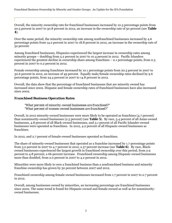Overall, the minority ownership rate for franchised businesses increased by 10.3 percentage points from 20.5 percent in 2007 to 30.8 percent in 2012, an increase in the ownership rate of 50 percent (see **Table 4**).

Over the same period, the minority ownership rate among nonfranchised businesses increased by 4.6 percentage points from 14.2 percent in 2007 to 18.8 percent in 2012, an increase in the ownership rate of 32 percent.

Among franchised businesses, Hispanics experienced the largest increase in ownership rates among minority groups – doubling from 5.2 percent in 2007 to 10.4 percent in 2012. Pacific Islanders experienced the greatest decline in ownership share among franchises – 0.1 percentage points, from 0.3 percent in 2007 to 0.2 percent in 2012.

Female ownership among franchises increased by 10.1 percentage points from 20.5 percent in 2007 to 30.6 percent in 2012, an increase of 49 percent. Equally male/female ownership rates declined by 9.6 percentage points, from 24.4 percent in 2007 to 14.8 percent in 2012.

Overall, the data show that the percentage of franchised businesses that are minority owned has increased since 2002. Hispanic and female ownership rates of franchised businesses have also increased since 2002.

#### *Franchised Business Operation Rates*

*"What percent of minority-owned businesses are franchised?" "What percent of women-owned businesses are franchised?"* 

Overall, in 2012 minority-owned businesses were more likely to be operated as franchises (4.7 percent) than nonminority-owned businesses (2.5 percent) (see **Table 5**). By race, 5.4 percent of all Asian-owned businesses, 4.8 percent of all Black-owned businesses, and 3.1 percent of all Pacific Islander-owned businesses were operated as franchises. In 2012, 4.2 percent of all Hispanic-owned businesses as franchises.

In 2012, and 2.7 percent of female-owned businesses operated as franchises.

The share of minority-owned businesses that operated as a franchise increased by 1.7 percentage points from 3.0 percent in 2007 to 4.7 percent in 2012, a 57 percent increase (see **Table 6**). By race, Blackowned businesses experienced the largest growth in franchised ownership over this period, from 2.9 percent to 4.8 percent, a 66 percent increase. Franchised ownership among Hispanic-owned businesses more than doubled, from 2.0 percent in 2007 to 4.2 percent in 2012.

Minorities were more likely to own a franchised business than a nonfranchised business and minority franchise ownership has grown by 50 percent between 2007 and 2012.

Franchised ownership among female-owned businesses increased from 1.7 percent in 2007 to 2.7 percent in 2012.

Overall, among businesses owned by minorities, an increasing percentage are franchised businesses since 2002. The same trend is found for Hispanic-owned and female-owned as well as for nonminorityowned businesses.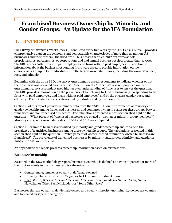## *Franchised Business Ownership by Minority and Gender Groups: An Update for the IFA Foundation*

## *I. INTRODUCTION*

The *Survey of Business Owners* ("SBO"), conducted every five years by the U.S. Census Bureau, provides comprehensive data on the economic and demographic characteristics of more than 27 million U.S. businesses and their owners. Included are all businesses that filed 2012 tax forms as sole proprietorships, partnerships, or corporations and had annual business receipts greater than \$1,000. The SBO covers both firms with paid employees and firms with no paid employees. In addition to information about the business, responding firms were asked to provide information on the characteristics of up to four individuals with the largest ownership shares, including the owners' gender, race, and ethnicity.

Beginning with the 2002 SBO, the survey questionnaire asked respondents to indicate whether or not their business was operated as a franchise. A definition of a "franchise" was not provided on the questionnaire, so a respondent used his/her own understanding of franchises to answer the question. The SBO provides information on the prevalence of franchising by kind of business (all responding firms, firms with paid employees, and firms without paid employees) and by the owners' gender, race, and ethnicity. The SBO data are also categorized by industry and by business size.

Section II of this report provides summary data from the 2012 SBO on the prevalence of minority and gender ownership among franchised businesses, and compares ownership rates for these groups between franchised and nonfranchised businesses. The tabulations presented in this section shed light on the question – "What percent of franchised businesses are owned by women or minority group members?" Minority and gender ownership rates in 2007 and 2012 are compared.

Section III examines businesses classified by minority and gender ownership and considers the prevalence of franchised businesses among these ownership groups. The tabulations presented in this section shed light on the question -- "What percent of women-owned or minority-owned businesses are franchised?" The prevalence of franchised businesses by minority status, race, ethnicity, and gender in 2007 and 2012 are compared.

An appendix to the report presents ownership information based on business size.

#### *Business Ownership*

As stated in the SBO methodology report, business ownership is defined as having 51 percent or more of the stock or equity in the business and is categorized by:

- Gender: male; female; or equally male/female-owned
- Ethnicity: Hispanic or Latino Origin; or Not Hispanic or Latino Origin
- Race: White; Black or African American; American Indian or Alaska Native; Asian; Native Hawaiian or Other Pacific Islander; or "Some Other Race"

Businesses that are equally male-/female-owned and equally minority-/nonminority-owned are counted and tabulated as separate categories.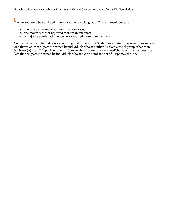Businesses could be tabulated in more than one racial group. This can result because:

- a. the sole owner reported more than one race;
- b. the majority owner reported more than one race;
- c. a majority combination of owners reported more than one race.

To overcome the potential double counting that can occur, SBO defines a "minority-owned" business as one that is at least 51 percent owned by individuals who are either (1) from a racial group other than White or (2) are of Hispanic ethnicity. Conversely, a "nonminority-owned" business is a business that is less than 50 percent owned by individuals who are White and are not of Hispanic ethnicity.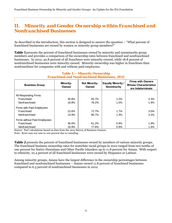### *II. Minority and Gender Ownership within Franchised and Nonfranchised Businesses*

As described in the introduction, this section is designed to answer the question – "What percent of franchised businesses are owned by women or minority group members?"

**Table 1** presents the percent of franchised businesses owned by minority and nonminority group members and provides a comparison of the ownership rates between franchised and nonfranchised businesses. In 2012, 30.8 percent of all franchises were minority-owned, while 18.8 percent of nonfranchised businesses were minority-owned. Minority ownership was higher in franchises than nonfranchises for companies with and without paid employees.

| <b>Business Group</b>         | <b>Minority-</b><br>Owned | <b>Not Minority-</b><br>Owned | <b>Equally Minority /</b><br><b>Nonminority</b> | <b>Firms with Owners</b><br><b>Whose Characteristics</b><br>are Indeterminate |
|-------------------------------|---------------------------|-------------------------------|-------------------------------------------------|-------------------------------------------------------------------------------|
|                               |                           |                               |                                                 |                                                                               |
| All Responding Firms:         |                           |                               |                                                 |                                                                               |
| Franchised                    | 30.8%                     | 65.7%                         | 1.2%                                            | 2.3%                                                                          |
| Nonfranchised                 | 18.8%                     | 78.2%                         | 1.0%                                            | 1.9%                                                                          |
| Firms with Paid Employees:    |                           |                               |                                                 |                                                                               |
| Franchised                    | 22.6%                     | 72.7%                         | 1.7%                                            | $3.0\%$                                                                       |
| Nonfranchised                 | 14.9%                     | 80.7%                         | 1.3%                                            | 3.2%                                                                          |
| Firms without Paid Employees: |                           |                               |                                                 |                                                                               |
| Franchised                    | 36.0%                     | 61.2%                         | 0.9%                                            | 1.9%                                                                          |
| Nonfranchised                 | 19.9%                     | 77.6%                         | 0.9%                                            | 1.6%                                                                          |

#### **Table 1. ─ Minority Ownership Franchised and Nonfranchised Businesses, 2012**

Source: PwC calculations based on data from the 2012 Survey of Business Owners. Note: Rows may not sum to 100 percent due to rounding.

**Table 2** presents the percent of franchised businesses owned by members of various minority groups. The franchised business ownership rates for nonwhite racial groups in 2012 ranged from two-tenths of one percent for Native Hawaiians and Other Pacific Islanders up to 11.8 percent for Asians. With respect to ethnicity, 10.4 percent of all franchised businesses were owned by Hispanics or Latinos.

Among minority groups, Asians have the largest difference in the ownership percentages between franchised and nonfranchised businesses – Asians owned 11.8 percent of franchised businesses compared to 6.3 percent of nonfranchised businesses in 2012.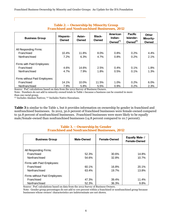| <b>Franchised and Nonfranchised Businesses, 2012</b> |                    |                 |                                                                       |      |                                               |                                    |
|------------------------------------------------------|--------------------|-----------------|-----------------------------------------------------------------------|------|-----------------------------------------------|------------------------------------|
| <b>Business Group</b>                                | Hispanic-<br>Owned | Asian-<br>Owned | American<br><b>Black-</b><br>Indian-<br>Owned<br>Owned <sup>(1)</sup> |      | <b>Pacific</b><br>Islander-<br>Owned $^{(2)}$ | <b>Other</b><br>Minority-<br>Owned |
| All Responding Firms:                                |                    |                 |                                                                       |      |                                               |                                    |
| Franchised                                           | 10.4%              | 11.8%           | 8.0%                                                                  | 0.8% | 0.2%                                          | 4.4%                               |
| Nonfranchised                                        | 7.2%               | 6.3%            | 4.7%                                                                  | 0.8% | 0.2%                                          | 2.1%                               |
| Firms with Paid Employees:                           |                    |                 |                                                                       |      |                                               |                                    |
| Franchised                                           | 4.6%               | 14.6%           | 2.5%                                                                  | 0.4% | 0.1%                                          | 1.8%                               |
| Nonfranchised                                        | 4.7%               | 7.9%            | 1.8%                                                                  | 0.5% | 0.1%                                          | 1.3%                               |
| Firms without Paid Employees:                        |                    |                 |                                                                       |      |                                               |                                    |
| Franchised                                           | 14.1%              | 10.0%           | 11.5%                                                                 | 1.0% | 0.2%                                          | 6.0%                               |
| Nonfranchised                                        | 7.9%               | 5.8%            | 5.5%                                                                  | 0.9% | 0.2%                                          | 2.3%                               |

#### **Table 2. ─ Ownership by Minority Group Franchised and Nonfranchised Businesses, 2012**

Source: PwC calculations based on data from the 2012 Survey of Business Owners.

Note: Numbers do not add to minority-owned totals in Table 1 because a business can be counted in more than one racial group.

(1) Includes Alaskan Natives; (2) Includes Native Hawaiians.

**Table 3** is similar to the Table 1, but it provides information on ownership by gender in franchised and nonfranchised businesses. In 2012, 30.6 percent of franchised businesses were female-owned compared to 32.8 percent of nonfranchised businesses. Franchised businesses were more likely to be equally male/female-owned than nonfranchised businesses (14.8 percent compared to 10.7 percent).

#### **Table 3. ─ Ownership by Gender Franchised and Nonfranchised Businesses, 2012**

| <b>Business Group</b>         | Male-Owned | <b>Female-Owned</b> | <b>Equally Male-/</b><br><b>Female-Owned</b> |
|-------------------------------|------------|---------------------|----------------------------------------------|
| All Responding Firms:         |            |                     |                                              |
| Franchised                    | 52.3%      | 30.6%               | 14.8%                                        |
| Nonfranchised                 | 54.6%      | 32.8%               | 10.7%                                        |
|                               |            |                     |                                              |
| Firms with Paid Employees:    |            |                     |                                              |
| Franchised                    | 60.1%      | 16.8%               | 20.1%                                        |
| Nonfranchised                 | 63.4%      | 19.7%               | 13.8%                                        |
| Firms without Paid Employees: |            |                     |                                              |
| Franchised                    | 47.3%      | 39.4%               | 11.4%                                        |
| Nonfranchised                 | 52.3%      | 36.3%               | 9.8%                                         |

Source: PwC calculations based on data from the 2012 Survey of Business Owners.

Note: Gender group percentages do not add to 100 percent within a franchised or nonfranchised group because businesses whose owners' characteristics are indeterminate are not shown.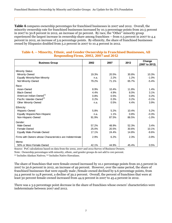**Table 4** compares ownership percentages for franchised businesses in 2007 and 2012. Overall, the minority ownership rate for franchised businesses increased by 10.3 percentage points from 20.5 percent in 2007 to 30.8 percent in 2012, an increase of 50 percent. By race, the "Other" minority group experienced the largest increase in ownership share among franchises − from 0.5 percent in 2007 to 4.4 percent in 2012, an increase of 3.9 percentage points. By ethnicity, the share of franchised businesses owned by Hispanics doubled from 5.2 percent in 2007 to 10.4 percent in 2012.

| <b>Business Group</b>                                     | 2002  | 2007  | 2012  | Change<br>(2007 to 2012) |
|-----------------------------------------------------------|-------|-------|-------|--------------------------|
|                                                           |       |       |       |                          |
| Minority Status:                                          |       |       |       |                          |
| Minority-Owned                                            | 19.3% | 20.5% | 30.8% | 10.3%                    |
| Equally Minority/Non-Minority                             | n.a.  | 2.2%  | 1.2%  | $-1.0%$                  |
| Not Minority-Owned                                        | 79.2% | 71.1% | 65.7% | $-5.4%$                  |
| Race:                                                     |       |       |       |                          |
| Asian-Owned                                               | 8.9%  | 10.4% | 11.8% | 1.4%                     |
| <b>Black-Owned</b>                                        | 4.4%  | 4.9%  | 8.0%  | 3.1%                     |
| American Indian-Owned <sup>(1)</sup>                      | 0.8%  | 0.5%  | 0.8%  | 0.2%                     |
| Pacific Islander-Owned <sup>(2)</sup>                     | 0.2%  | 0.3%  | 0.2%  | $-0.1%$                  |
| <b>Other Minority-Owned</b>                               | n.a.  | 0.5%  | 4.4%  | 3.9%                     |
| Ethnicity:                                                |       |       |       |                          |
| Hispanic-Owned                                            | 5.8%  | 5.2%  | 10.4% | 5.2%                     |
| Equally Hispanic/Non-Hispanic                             | n.a.  | 1.1%  | 0.8%  | $-0.3%$                  |
| Non-Hispanic-Owned                                        | 91.9% | 87.5% | 86.5% | $-1.0%$                  |
|                                                           |       |       |       |                          |
| Gender:                                                   |       |       |       |                          |
| Male-Owned                                                | 57.2% | 48.9% | 52.3% | 3.4%                     |
| Female-Owned                                              | 25.0% | 20.5% | 30.6% | 10.1%                    |
| Equally Male-/Female-Owned                                | 17.1% | 24.4% | 14.8% | $-9.6%$                  |
| Firms with Owners whose Characteristics are Indeterminate | 2.9%  | 6.2%  | 2.3%  | $-3.9%$                  |
| Memo:                                                     |       |       |       |                          |
| 50% or More Female-Owned                                  | 42.1% | 44.9% | 45.4% | 0.5%                     |

#### **Table 4. ─ Minority, Ethnic, and Gender Ownership in Franchised Businesses, All Responding Firms, 2002, 2007 and 2012**

Source: PwC calculations based on data from the 2002, 2007 and 2012 Survey of Business Owners. Note: Ownership percentages with minority, ethnic, and gender groups do not add to 100 percent.

(1) Includes Alaskan Natives; (2) Includes Native Hawaiians.

The share of franchises that were female-owned increased by 10.1 percentage points from 20.5 percent in 2007 to 30.6 percent in 2012, an increase of 49 percent. However, over the same period, the share of franchised businesses that were equally male-/female-owned declined by 9.6 percentage points, from 24.4 percent to 14.8 percent, a decline of 39.2 percent. Overall, the percent of franchises that were at least 50 percent female-owned increased from 44.9 percent in 2007 to 45.4 percent in 2012.

There was a 3.9 percentage point decrease in the share of franchises whose owners' characteristics were indeterminate between 2007 and 2012.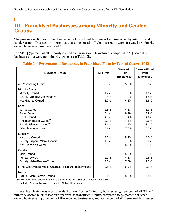## *III. Franchised Businesses among Minority and Gender Groups*

The previous section examined the percent of franchised businesses that are owned by minority and gender group. This section alternatively asks the question "What percent of women-owned or minorityowned businesses are franchised?"

In 2012, 4.7 percent of all minority-owned businesses were franchised, compared to 2.5 percent of businesses that were not minority-owned (see **Table 5**).

| <b>Business Group</b>                                     | <b>All Firms</b> | <b>Firms with</b><br>Paid<br><b>Employees</b> | <b>Firms without</b><br>Paid<br><b>Employees</b> |
|-----------------------------------------------------------|------------------|-----------------------------------------------|--------------------------------------------------|
| All Responding Firms:                                     | 2.9%             | 5.3%                                          | 2.3%                                             |
| <b>Minority Status:</b>                                   |                  |                                               |                                                  |
| Minority-Owned                                            | 4.7%             | 7.8%                                          | 4.1%                                             |
| Equally Minority/Non-Minority                             | 3.5%             | 7.0%                                          | 1.8%                                             |
| Not Minority-Owned                                        | 2.5%             | 4.8%                                          | 1.8%                                             |
| Race:                                                     |                  |                                               |                                                  |
| White-Owned                                               | 2.5%             | 4.8%                                          | 1.9%                                             |
| Asian-Owned                                               | 5.4%             | 9.4%                                          | 3.9%                                             |
| <b>Black-Owned</b>                                        | 4.8%             | 7.4%                                          | 4.6%                                             |
| American Indian-Owned <sup>(1)</sup>                      | 2.8%             | 4.6%                                          | 2.5%                                             |
| Pacific Islander-Owned <sup>(2)</sup>                     | 3.1%             | 3.4%                                          | 3.1%                                             |
| <b>Other Minority-owned</b>                               | 5.9%             | 7.6%                                          | 5.7%                                             |
| Ethnicity:                                                |                  |                                               |                                                  |
| Hispanic-Owned                                            | 4.2%             | 5.2%                                          | 4.0%                                             |
| Equally Hispanic/Non-Hispanic                             | 4.3%             | 7.0%                                          | 2.9%                                             |
| Non-Hispanic-Owned                                        | 2.8%             | 5.3%                                          | 2.1%                                             |
| Gender:                                                   |                  |                                               |                                                  |
| Male-Owned                                                | 2.8%             | 5.0%                                          | 2.1%                                             |
| Female-Owned                                              | 2.7%             | 4.6%                                          | 2.5%                                             |
| Equally Male-/Female-Owned                                | 4.0%             | 7.5%                                          | 2.7%                                             |
| Firms with Owners whose Characteristics are Indeterminate | 3.5%             | 5.0%                                          | 2.7%                                             |
| Memo:                                                     |                  |                                               |                                                  |
| 50% or More Female-Owned                                  | 3.1%             | 5.8%                                          | 2.5%                                             |

#### **Table 5. ─ Percentage of Businesses in Franchised Form by Type of Owner, 2012**

Source: PwC calculations based on data from the 2012 Survey of Business Owners.

(1) Includes Alaskan Natives; (2) Includes Native Hawaiians.

By race, franchising was most prevalent among "Other" minority businesses: 5.9 percent of all "Other" minority-owned businesses were operated as franchises in 2012, compared to 5.4 percent of Asianowned businesses, 4.8 percent of Black-owned businesses, and 2.5 percent of White-owned businesses.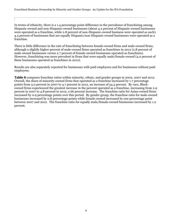In terms of ethnicity, there is a 1.4 percentage point difference in the prevalence of franchising among Hispanic-owned and non-Hispanic-owned businesses (about 4.2 percent of Hispanic-owned businesses were operated as a franchise, while 2.8 percent of non-Hispanic-owned business were operated as such). 4.3 percent of businesses that are equally Hispanic/non-Hispanic-owned businesses were operated as a franchise.

There is little difference in the rate of franchising between female-owned firms and male-owned firms, although a slightly higher percent of male-owned firms operated as franchises in 2012 (2.8 percent of male-owned businesses versus 2.7 percent of female-owned businesses operated as franchises). However, franchising was more prevalent in firms that were equally male/female-owned (4.0 percent of these businesses operated as franchises in 2012).

Results are also separately reported for businesses with paid employees and for businesses without paid employees.

**Table 6** compares franchise ratios within minority, ethnic, and gender groups in 2002, 2007 and 2012. Overall, the share of minority-owned firms that operated as a franchise increased by 1.7 percentage points from 3.0 percent in 2007 to 4.7 percent in 2012, an increase of 54.5 percent. By race, Blackowned firms experienced the greatest increase in the percent operated as a franchise, increasing from 2.9 percent in 2007 to 4.8 percent in 2012, a 66 percent increase. The franchise ratio for Asian-owned firms increased by 0.9 percentage points over this period. By gender group, the franchise ratio for male-owned businesses increased by 0.8 percentage points while female-owned increased by one percentage point between 2007 and 2012. The franchise ratio for equally male/female-owned businesses increased by 1.2 percent.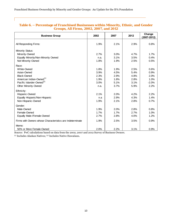| <b>Business Group</b>                                     | 2002 | 2007 | 2012 | Change<br>$(2007 - 2012)$ |
|-----------------------------------------------------------|------|------|------|---------------------------|
| All Responding Firms:                                     | 1.9% | 2.1% | 2.9% | 0.8%                      |
| <b>Minority Status:</b>                                   |      |      |      |                           |
| Minority-Owned                                            | 2.7% | 3.0% | 4.7% | 1.7%                      |
| Equally Minority/Non-Minority Owned                       | n.a. | 3.1% | 3.5% | 0.4%                      |
| Not Minority-Owned                                        | 1.8% | 1.9% | 2.5% | 0.5%                      |
| Race:                                                     |      |      |      |                           |
| White-Owned                                               | 1.8% | 1.9% | 2.5% | 0.6%                      |
| Asian-Owned                                               | 3.9% | 4.5% | 5.4% | 0.9%                      |
| <b>Black-Owned</b>                                        | 2.3% | 2.9% | 4.8% | 2.0%                      |
| American Indian-Owned <sup>(1)</sup>                      | 1.9% | 1.8% | 2.8% | 1.0%                      |
| Pacific Islander-Owned <sup>(2)</sup>                     | 3.0% | 5.1% | 3.1% | $-2.0%$                   |
| <b>Other Minority-Owned</b>                               | n.a. | 3.7% | 5.9% | 2.2%                      |
| Ethnicity:                                                |      |      |      |                           |
| Hispanic-Owned                                            | 2.1% | 2.0% | 4.2% | 2.2%                      |
| Equally Hispanic/Non-Hispanic                             | n.a  | 2.9% | 4.3% | 1.4%                      |
| Non-Hispanic-Owned                                        | 1.9% | 2.1% | 2.8% | 0.7%                      |
| Gender:                                                   |      |      |      |                           |
| Male-Owned                                                | 1.9% | 2.0% | 2.8% | 0.8%                      |
| Female-Owned                                              | 1.7% | 1.7% | 2.7% | 1.0%                      |
| Equally Male-/Female-Owned                                | 2.7% | 2.8% | 4.0% | 1.2%                      |
| Firms with Owners whose Characteristics are Indeterminate | 1.9% | 2.5% | 3.5% | 0.9%                      |
| Memo:                                                     |      |      |      |                           |
| 50% or More Female-Owned                                  | 2.0% | 2.2% | 3.1% | 0.9%                      |

#### **Table 6. ─ Percentage of Franchised Businesses within Minority, Ethnic, and Gender Groups, All Firms, 2002, 2007, and 2012**

Source: PwC calculations based on data from the 2002, 2007 and 2012 Survey of Business Owners. (1) Includes Alaskan Natives; (2) Includes Native Hawaiians.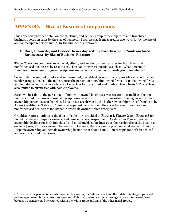## *APPENDIX – Size of Business Comparisons*

This appendix provides detail on racial, ethnic, and gender group ownership rates and franchised business operation rates by the size of business. Business size is measured in two ways: (1) by the size of annual receipts reported and (2) by the number of employees.

#### *A. Race, Ethnicity, and Gender Ownership within Franchised and Nonfranchised Businesses: By Size of Business Receipts*

**Table 7** provides comparisons of racial, ethnic, and gender ownership rates for franchised and nonfranchised businesses by receipt size. This table answers questions such as "What percent of franchised businesses of a given receipt size are owned by women or minority group members?"

To simplify the amount of information presented, the table does not show all possible racial, ethnic, and gender groups. Instead, the table reports the percent of nonwhite-owned firms, Hispanic-owned firms and female-owned firms in each receipt size class for franchised and nonfranchised firms.2 The table is also limited to businesses with paid employees.

As shown in Table 7, the percentage of nonwhite-owned businesses was greater in franchised than in nonfranchised businesses across all receipt size classes in 2012. To some extent, the higher nonwhite ownership percentages of franchised businesses are driven by the higher ownership rates of franchises by Asians identified in Table 2. There is no apparent trend in the differences between franchised and nonfranchised businesses for Hispanic or female owners across receipt size.

Graphical representations of the data in Table 7 are provided in **Figure 1**, **Figure 2**, and **Figure 3** for nonwhite owners, Hispanic owners, and female owners, respectively. As shown in Figure 1, nonwhite ownership declines for both franchised and nonfranchised businesses as the receipt size of the business exceeds \$500,000. As shown in Figure 2 and Figure 3, there is a more pronounced downward trend in Hispanic ownership and female ownership beginning at about \$50,000 in receipts for both franchised and nonfranchised businesses.

 $\overline{\phantom{a}}$ 

<sup>2</sup> To calculate the percent of nonwhite-owned businesses, the White-owned and the indeterminate-group-owned percentages were subtracted from 100 percent. This may understate the percentage of nonwhite-owned firms because a business could be counted within the White group and any of the other racial groups.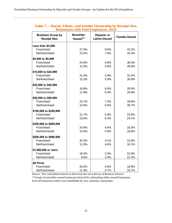|                                                 | Businesses with Paid Employees, 2012 |                                           |                     |  |  |  |  |  |
|-------------------------------------------------|--------------------------------------|-------------------------------------------|---------------------|--|--|--|--|--|
| <b>Business Group by</b><br><b>Receipt Size</b> | Nonwhite-<br>Owned $^{(1)}$          | <b>Hispanic or</b><br><b>Latino-Owned</b> | <b>Female-Owned</b> |  |  |  |  |  |
| Less than \$5,000                               |                                      |                                           |                     |  |  |  |  |  |
| Franchised                                      | 27.0%                                | 9.5%                                      | 42.2%               |  |  |  |  |  |
| Nonfranchised                                   | 13.0%                                | 7.0%                                      | 32.4%               |  |  |  |  |  |
| \$5,000 to \$9,999                              |                                      |                                           |                     |  |  |  |  |  |
| Franchised                                      | 24.9%                                | 6.8%                                      | 30.5%               |  |  |  |  |  |
| Nonfranchised                                   | 12.5%                                | 4.9%                                      | 28.6%               |  |  |  |  |  |
| \$10,000 to \$24,999                            |                                      |                                           |                     |  |  |  |  |  |
| Franchised                                      | 21.5%                                | 5.9%                                      | 31.4%               |  |  |  |  |  |
| Nonfranchised                                   | 12.2%                                | 5.9%                                      | 30.8%               |  |  |  |  |  |
| \$25,000 to \$49,999                            |                                      |                                           |                     |  |  |  |  |  |
| Franchised                                      | 16.8%                                | 8.4%                                      | 29.0%               |  |  |  |  |  |
| Nonfranchised                                   | 11.8%                                | 5.4%                                      | 28.8%               |  |  |  |  |  |
| \$50,000 to \$99,999                            |                                      |                                           |                     |  |  |  |  |  |
| Franchised                                      | 23.7%                                | 7.3%                                      | 26.8%               |  |  |  |  |  |
| Nonfranchised                                   | 12.0%                                | 5.5%                                      | 28.7%               |  |  |  |  |  |
| \$100,000 to \$249,999                          |                                      |                                           |                     |  |  |  |  |  |
| Franchised                                      | 21.7%                                | 5.8%                                      | 23.9%               |  |  |  |  |  |
| Nonfranchised                                   | 13.0%                                | 5.3%                                      | 23.1%               |  |  |  |  |  |
| \$250,000 to \$499,999                          |                                      |                                           |                     |  |  |  |  |  |
| Franchised                                      | 24.9%                                | 4.9%                                      | 18.3%               |  |  |  |  |  |
| Nonfranchised                                   | 12.5%                                | 4.9%                                      | 18.8%               |  |  |  |  |  |
| \$500,000 to \$999,999                          |                                      |                                           |                     |  |  |  |  |  |
| Franchised                                      | 20.3%                                | 4.1%                                      | 13.5%               |  |  |  |  |  |
| Nonfranchised                                   | 11.6%                                | 4.6%                                      | 16.1%               |  |  |  |  |  |
| \$1,000,000 or more                             |                                      |                                           |                     |  |  |  |  |  |
| Franchised                                      | 16.0%                                | 3.3%                                      | 10.9%               |  |  |  |  |  |
| Nonfranchised                                   | 8.6%                                 | 3.3%                                      | 12.3%               |  |  |  |  |  |
| <b>All Firms</b>                                |                                      |                                           |                     |  |  |  |  |  |
| Franchised                                      | 20.0%                                | 4.6%                                      | 16.8%               |  |  |  |  |  |
| Nonfranchised                                   | 11.4%                                | 4.7%                                      | 19.7%               |  |  |  |  |  |

#### **Table 7. ─ Racial, Ethnic, and Gender Ownership by Receipt Size, Businesses with Paid Employees, 2012**

Source: PwC calculations based on data from the 2012 Survey of Business Owners. (1) Counts of nonwhite-owned businesses derived by subtracting white-owned businesses from all businesses which were classifiable by race, ethnicity, and gender.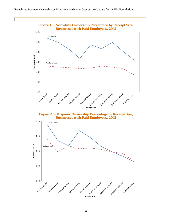

**Businesses with Paid Employees, 2012** 

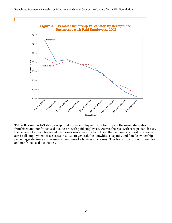

**Figure 3. ─ Female Ownership Percentage by Receipt Size, Businesses with Paid Employees, 2012** 

**Table 8** is similar to Table 7 except that it uses employment size to compare the ownership rates of franchised and nonfranchised businesses with paid employees. As was the case with receipt size classes, the percent of nonwhite-owned businesses was greater in franchised than in nonfranchised businesses across all employment size classes in 2012. In general, the nonwhite, Hispanic, and female ownership percentages decrease as the employment size of a business increases. This holds true for both franchised and nonfranchised businesses.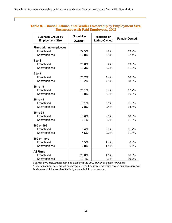| <b>Business Group by</b><br><b>Employment Size</b> | Nonwhite-<br>Owned $^{(1)}$ | <b>Hispanic or</b><br>Latino-Owned | <b>Female-Owned</b> |
|----------------------------------------------------|-----------------------------|------------------------------------|---------------------|
| Firms with no employees                            |                             |                                    |                     |
| Franchised                                         | 22.5%                       | 5.9%                               | 19.9%               |
| Nonfranchised                                      | 12.8%                       | 5.8%                               | 22.4%               |
| 1 to $4$                                           |                             |                                    |                     |
| Franchised                                         | 21.0%                       | 6.2%                               | 19.6%               |
| Nonfranchised                                      | 12.3%                       | 4.9%                               | 21.2%               |
| 5 to 9                                             |                             |                                    |                     |
| Franchised                                         | 26.2%                       | 4.4%                               | 16.8%               |
| Nonfranchised                                      | 11.2%                       | 4.5%                               | 18.6%               |
| 10 to 19                                           |                             |                                    |                     |
| Franchised                                         | 21.1%                       | 3.7%                               | 17.7%               |
| Nonfranchised                                      | 9.8%                        | 4.1%                               | 16.8%               |
| 20 to 49                                           |                             |                                    |                     |
| Franchised                                         | 13.1%                       | 3.1%                               | 11.8%               |
| Nonfranchised                                      | 7.8%                        | 3.4%                               | 14.4%               |
| 50 to 99                                           |                             |                                    |                     |
| Franchised                                         | 10.6%                       | 2.0%                               | 10.0%               |
| Nonfranchised                                      | 6.1%                        | 2.9%                               | 11.8%               |
| 100 or 499                                         |                             |                                    |                     |
| Franchised                                         | 8.4%                        | 2.9%                               | 11.7%               |
| Nonfranchised                                      | 4.5%                        | 2.2%                               | 11.4%               |
| 500 or more                                        |                             |                                    |                     |
| Franchised                                         | 11.5%                       | 1.7%                               | 6.8%                |
| Nonfranchised                                      | 2.8%                        | 1.4%                               | 6.5%                |
| <b>All Firms</b>                                   |                             |                                    |                     |
| Franchised                                         | 20.0%                       | 4.6%                               | 16.8%               |
| Nonfranchised                                      | 11.4%                       | 4.7%                               | 19.7%               |

#### **Table 8. ─ Racial, Ethnic, and Gender Ownership by Employment Size, Businesses with Paid Employees, 2012**

Source: PwC calculations based on data from the 2012 Survey of Business Owners. (1) Counts of nonwhite-owned businesses derived by subtracting white-owned businesses from all businesses which were classifiable by race, ethnicity, and gender.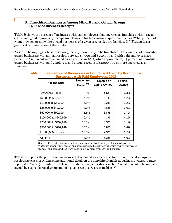#### *B. Franchised Businesses Among Minority and Gender Groups: By Size of Business Receipts*

**Table 9** shows the percent of businesses with paid employees that operated as franchises within racial, ethnic, and gender groups by receipt size classes. This table answers questions such as "What percent of women-owned or nonwhite-owned businesses of a given receipt size are franchised?" **Figure 4** is a graphical representation of these data.

As shown below, bigger businesses are generally more likely to be franchised. For example, of nonwhiteowned businesses with annual receipts between \$5,000 and \$250,000 and with paid employees, 4.3 percent to 7.6 percent were operated as a franchise in 2012, while approximately 13 percent of nonwhiteowned businesses with paid employees and annual receipts of \$1,000,000 or more operated as a franchise.

| <b>Receipt Size</b>    | Nonwhite-<br>$Owned^{(1)}$ | <b>Hispanic or</b><br><b>Latino-Owned</b> | Female-<br>Owned |
|------------------------|----------------------------|-------------------------------------------|------------------|
|                        |                            |                                           |                  |
| Less than $$5,000$     | 6.8%                       | 4.6%                                      | 4.4%             |
| \$5,000 to \$9,999     | 7.6%                       | 5.4%                                      | 4.2%             |
| \$10,000 to \$24,999   | 5.5%                       | 3.2%                                      | 3.2%             |
| \$25,000 to \$49,999   | 4.3%                       | 4.6%                                      | 3.0%             |
| \$50,000 to \$99,999   | 5.6%                       | 3.8%                                      | 2.7%             |
| \$100,000 to \$249,999 | 6.4%                       | 4.3%                                      | 4.1%             |
| \$250,000 to \$499,999 | 10.0%                      | 5.3%                                      | 5.1%             |
| \$500,000 to \$999,999 | 10.7%                      | 5.8%                                      | 5.4%             |
| \$1,000,000 or more    | 13.0%                      | 7.3%                                      | 6.7%             |
| All Firms              | 8.9%                       | 5.2%                                      | 4.6%             |

#### **Table 9. ─ Percentage of Businesses in Franchised Form by Receipt Size, Businesses with Paid Employees, 2012**

Source: PwC calculations based on data from the 2012 Survey of Business Owners. (1) Counts of nonwhite-owned businesses derived by subtracting white-owned businesses from all businesses which were classifiable by race, ethnicity, and gender.

**Table 10** reports the percent of businesses that operated as a franchise for different racial groups by receipt size class, providing some additional detail on the nonwhite franchised business ownership rates reported in Table 9. Similar to Table 9, this table answers questions such as "What percent of businesses owned by a specific racial group and of a given receipt size are franchised?"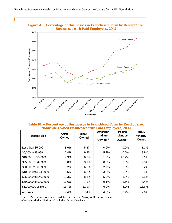

**Figure 4. ─ Percentage of Businesses in Franchised Form by Receipt Size,** 

| Table 10. – Percentage of Businesses in Franchised Form by Receipt Size, |  |  |
|--------------------------------------------------------------------------|--|--|
| <b>Nonwhite-Owned Businesses with Paid Employees, 2012</b>               |  |  |

| <b>Receipt Size</b>    | Asian-<br>Owned | <b>Black-</b><br>Owned | American<br>Indian-<br>Owned $^{(1)}$ | <b>Pacific</b><br>Islander-<br>Owned $^{(2)}$ | <b>Other</b><br>Minority-<br>Owned |
|------------------------|-----------------|------------------------|---------------------------------------|-----------------------------------------------|------------------------------------|
|                        |                 |                        |                                       |                                               |                                    |
| Less than $$5,000$     | 8.6%            | 5.2%                   | 0.0%                                  | $0.0\%$                                       | 1.3%                               |
| \$5,000 to \$9,999     | 6.4%            | 9.8%                   | 5.2%                                  | $0.0\%$                                       | 8.9%                               |
| \$10,000 to \$24,999   | 4.3%            | 6.7%                   | 1.8%                                  | 26.7%                                         | 5.1%                               |
| \$25,000 to \$49,999   | 5.0%            | 3.1%                   | 0.6%                                  | 0.0%                                          | 2.8%                               |
| \$50,000 to \$99,999   | 5.2%            | 6.5%                   | 2.7%                                  | $0.0\%$                                       | 5.2%                               |
| \$100,000 to \$249,999 | 6.5%            | 6.2%                   | 3.2%                                  | 0.5%                                          | 5.4%                               |
| \$250,000 to \$499,999 | 10.3%           | 8.3%                   | 5.2%                                  | 1.0%                                          | 7.5%                               |
| \$500,000 to \$999,999 | 11.6%           | 7.1%                   | 9.1%                                  | 2.6%                                          | 8.4%                               |
| \$1,000,000 or more    | 13.7%           | 11.9%                  | 6.0%                                  | 8.7%                                          | 13.6%                              |
| All Firms              | 9.4%            | 7.4%                   | 4.6%                                  | 3.4%                                          | 7.6%                               |

Source: PwC calculations based on data from the 2012 Survey of Business Owners.

(1) Includes Alaskan Natives; (2) Includes Native Hawaiians.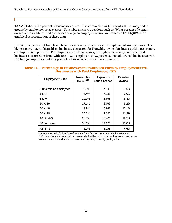**Table 11** shows the percent of businesses operated as a franchise within racial, ethnic, and gender groups by employment size classes. This table answers questions such as "What percent of womenowned or nonwhite-owned businesses of a given employment size are franchised?" **Figure 5** is a graphical representation of these data.

In 2012, the percent of franchised business generally increases as the employment size increases. The highest percentage of franchised businesses occurred for Nonwhite-owned businesses with 500 or more employees (30.1 percent). For Hispanic-owned businesses, the highest percentage of franchised businesses occurred in firms with 100 to 499 employees (15.4 percent). Female-owned businesses with 100 to 499 employees had 12.5 percent of businesses operated as a franchise.

#### **Table 11. ─ Percentage of Businesses in Franchised Form by Employment Size, Businesses with Paid Employees, 2012**

| <b>Employment Size</b>  | Nonwhite-<br>Owned $^{(1)}$ | <b>Hispanic or</b><br><b>Latino-Owned</b> | Female-<br>Owned |  |
|-------------------------|-----------------------------|-------------------------------------------|------------------|--|
|                         |                             |                                           |                  |  |
| Firms with no employees | 6.8%                        | 4.1%                                      | 3.6%             |  |
| 1 to $4$                | 5.4%                        | 4.1%                                      | 3.0%             |  |
| 5 to 9                  | 12.9%                       | 5.9%                                      | 5.4%             |  |
| 10 to 19                | 17.1%                       | 8.0%                                      | 9.2%             |  |
| 20 to 49                | 18.8%                       | 10.9%                                     | 10.1%            |  |
| 50 to 99                | 20.8%                       | 9.3%                                      | 11.3%            |  |
| 100 to 499              | 20.5%                       | 15.4%                                     | 12.5%            |  |
| 500 or more             | 30.1%                       | 11.2%                                     | 10.0%            |  |
| All Firms               | 8.9%                        | 5.2%                                      | 4.6%             |  |

Source: PwC calculations based on data from the 2012 Survey of Business Owners. (1) Counts of nonwhite-owned businesses derived by subtracting white-owned businesses from all businesses which were classifiable by race, ethnicity, and gender.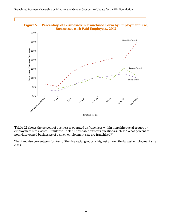

**Figure 5. ─ Percentage of Businesses in Franchised Form by Employment Size,** 

**Table 12** shows the percent of businesses operated as franchises within nonwhite racial groups by employment size classes. Similar to Table 11, this table answers questions such as "What percent of nonwhite-owned businesses of a given employment size are franchised?"

The franchise percentages for four of the five racial groups is highest among the largest employment size class.